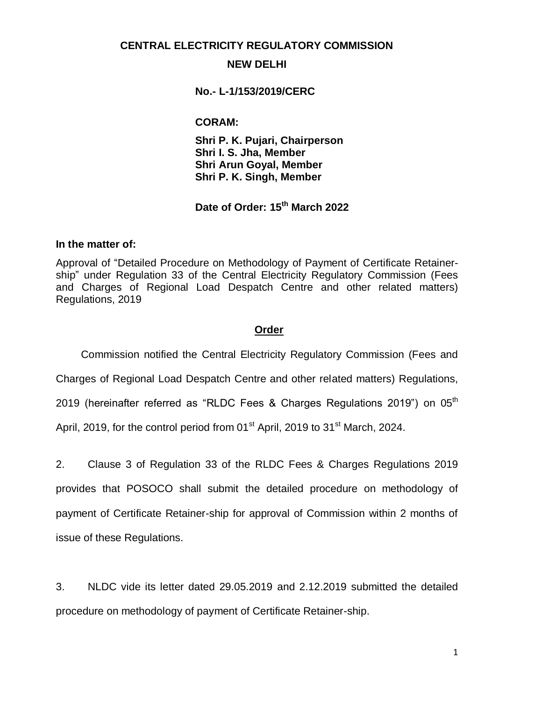#### **CENTRAL ELECTRICITY REGULATORY COMMISSION**

#### **NEW DELHI**

#### **No.- L-1/153/2019/CERC**

#### **CORAM:**

**Shri P. K. Pujari, Chairperson Shri I. S. Jha, Member Shri Arun Goyal, Member Shri P. K. Singh, Member**

**Date of Order: 15 th March 2022**

#### **In the matter of:**

Approval of "Detailed Procedure on Methodology of Payment of Certificate Retainership" under Regulation 33 of the Central Electricity Regulatory Commission (Fees and Charges of Regional Load Despatch Centre and other related matters) Regulations, 2019

#### **Order**

Commission notified the Central Electricity Regulatory Commission (Fees and

Charges of Regional Load Despatch Centre and other related matters) Regulations,

2019 (hereinafter referred as "RLDC Fees & Charges Regulations 2019") on  $05<sup>th</sup>$ 

April, 2019, for the control period from  $01<sup>st</sup>$  April, 2019 to  $31<sup>st</sup>$  March, 2024.

2. Clause 3 of Regulation 33 of the RLDC Fees & Charges Regulations 2019 provides that POSOCO shall submit the detailed procedure on methodology of payment of Certificate Retainer-ship for approval of Commission within 2 months of issue of these Regulations.

3. NLDC vide its letter dated 29.05.2019 and 2.12.2019 submitted the detailed procedure on methodology of payment of Certificate Retainer-ship.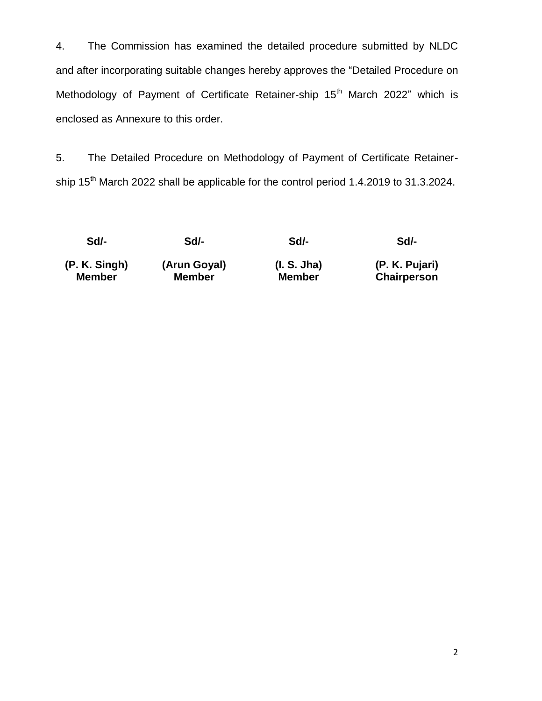4. The Commission has examined the detailed procedure submitted by NLDC and after incorporating suitable changes hereby approves the "Detailed Procedure on Methodology of Payment of Certificate Retainer-ship 15<sup>th</sup> March 2022" which is enclosed as Annexure to this order.

5. The Detailed Procedure on Methodology of Payment of Certificate Retainership 15<sup>th</sup> March 2022 shall be applicable for the control period 1.4.2019 to 31.3.2024.

**Sd/- Sd/- Sd/- Sd/-**

**(P. K. Singh) (Arun Goyal) (I. S. Jha) (P. K. Pujari)**

**Member Member Member Chairperson**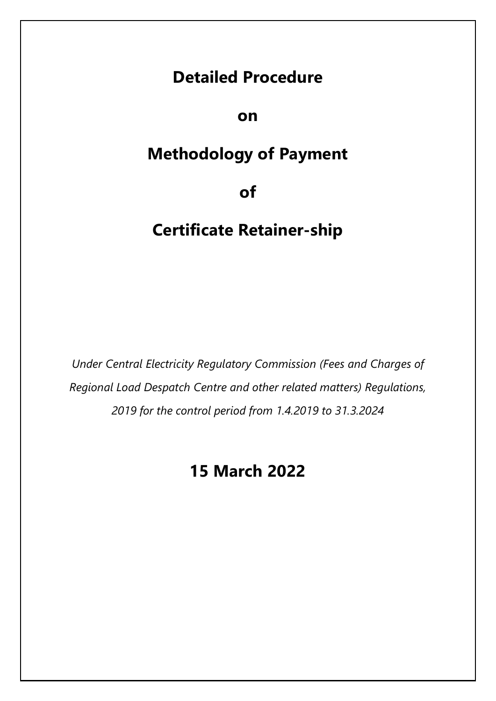# **Detailed Procedure**

# **on**

# **Methodology of Payment**

**of** 

# **Certificate Retainer-ship**

*Under Central Electricity Regulatory Commission (Fees and Charges of Regional Load Despatch Centre and other related matters) Regulations, 2019 for the control period from 1.4.2019 to 31.3.2024* 

# **15 March 2022**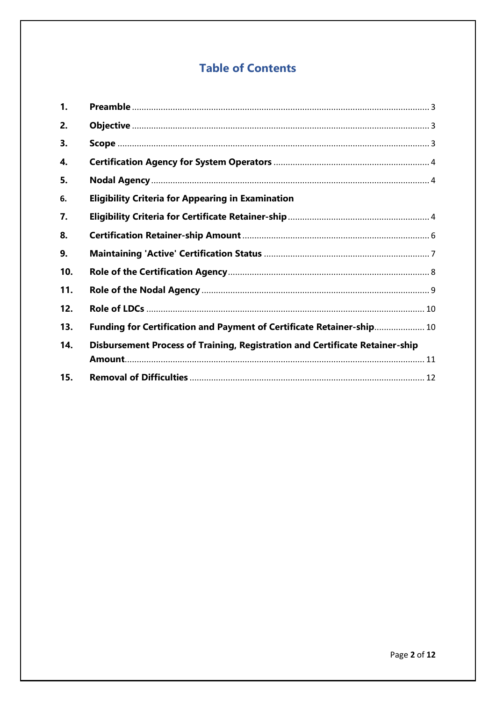# **Table of Contents**

| 1.  |                                                                              |  |
|-----|------------------------------------------------------------------------------|--|
| 2.  |                                                                              |  |
| 3.  |                                                                              |  |
| 4.  |                                                                              |  |
| 5.  |                                                                              |  |
| 6.  | <b>Eligibility Criteria for Appearing in Examination</b>                     |  |
| 7.  |                                                                              |  |
| 8.  |                                                                              |  |
| 9.  |                                                                              |  |
| 10. |                                                                              |  |
| 11. |                                                                              |  |
| 12. |                                                                              |  |
| 13. | Funding for Certification and Payment of Certificate Retainer-ship 10        |  |
| 14. | Disbursement Process of Training, Registration and Certificate Retainer-ship |  |
|     |                                                                              |  |
| 15. |                                                                              |  |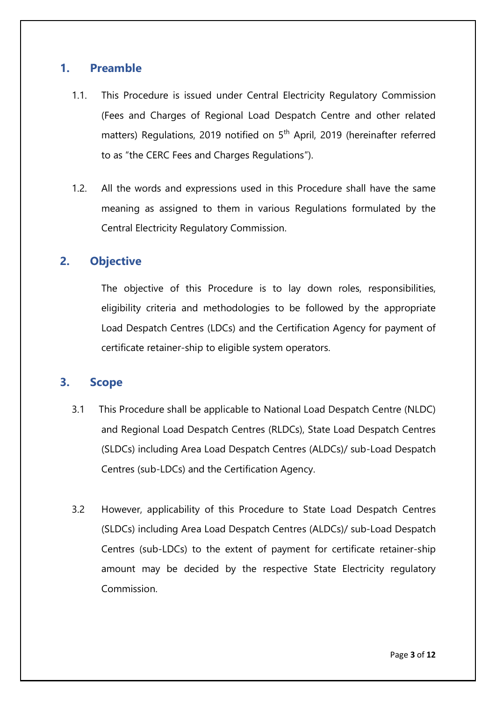### <span id="page-4-0"></span>**1. Preamble**

- 1.1. This Procedure is issued under Central Electricity Regulatory Commission (Fees and Charges of Regional Load Despatch Centre and other related matters) Regulations, 2019 notified on 5<sup>th</sup> April, 2019 (hereinafter referred to as "the CERC Fees and Charges Regulations").
- 1.2. All the words and expressions used in this Procedure shall have the same meaning as assigned to them in various Regulations formulated by the Central Electricity Regulatory Commission.

## <span id="page-4-1"></span>**2. Objective**

The objective of this Procedure is to lay down roles, responsibilities, eligibility criteria and methodologies to be followed by the appropriate Load Despatch Centres (LDCs) and the Certification Agency for payment of certificate retainer-ship to eligible system operators.

### <span id="page-4-2"></span>**3. Scope**

- 3.1 This Procedure shall be applicable to National Load Despatch Centre (NLDC) and Regional Load Despatch Centres (RLDCs), State Load Despatch Centres (SLDCs) including Area Load Despatch Centres (ALDCs)/ sub-Load Despatch Centres (sub-LDCs) and the Certification Agency.
- 3.2 However, applicability of this Procedure to State Load Despatch Centres (SLDCs) including Area Load Despatch Centres (ALDCs)/ sub-Load Despatch Centres (sub-LDCs) to the extent of payment for certificate retainer-ship amount may be decided by the respective State Electricity regulatory Commission.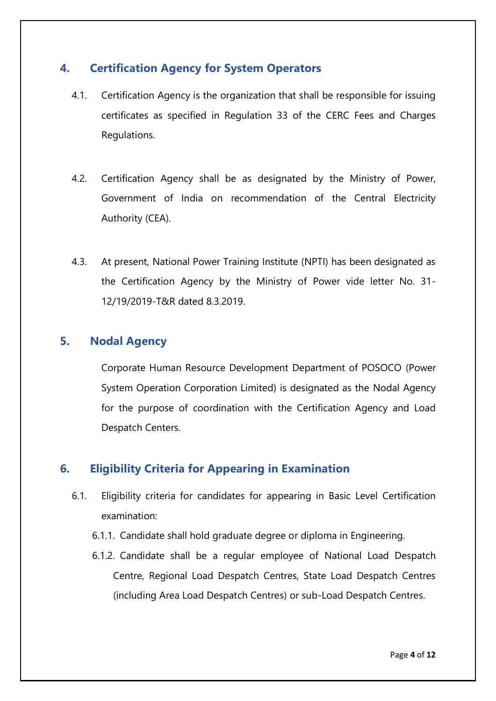## <span id="page-5-0"></span>**4. Certification Agency for System Operators**

- 4.1. Certification Agency is the organization that shall be responsible for issuing certificates as specified in Regulation 33 of the CERC Fees and Charges Regulations.
- 4.2. Certification Agency shall be as designated by the Ministry of Power, Government of India on recommendation of the Central Electricity Authority (CEA).
- 4.3. At present, National Power Training Institute (NPTI) has been designated as the Certification Agency by the Ministry of Power vide letter No. 31- 12/19/2019-T&R dated 8.3.2019.

## <span id="page-5-1"></span>**5. Nodal Agency**

Corporate Human Resource Development Department of POSOCO (Power System Operation Corporation Limited) is designated as the Nodal Agency for the purpose of coordination with the Certification Agency and Load Despatch Centers.

# <span id="page-5-2"></span>**6. Eligibility Criteria for Appearing in Examination**

- 6.1. Eligibility criteria for candidates for appearing in Basic Level Certification examination:
	- 6.1.1. Candidate shall hold graduate degree or diploma in Engineering.
	- 6.1.2. Candidate shall be a regular employee of National Load Despatch Centre, Regional Load Despatch Centres, State Load Despatch Centres (including Area Load Despatch Centres) or sub-Load Despatch Centres.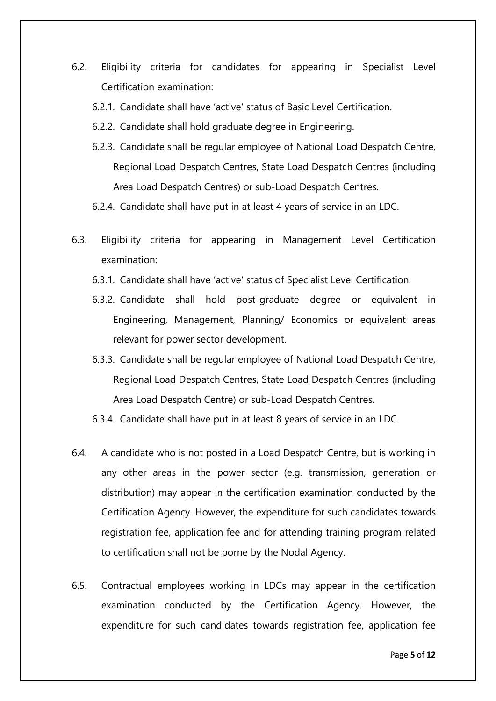- 6.2. Eligibility criteria for candidates for appearing in Specialist Level Certification examination:
	- 6.2.1. Candidate shall have "active" status of Basic Level Certification.
	- 6.2.2. Candidate shall hold graduate degree in Engineering.
	- 6.2.3. Candidate shall be regular employee of National Load Despatch Centre, Regional Load Despatch Centres, State Load Despatch Centres (including Area Load Despatch Centres) or sub-Load Despatch Centres.
	- 6.2.4. Candidate shall have put in at least 4 years of service in an LDC.
- 6.3. Eligibility criteria for appearing in Management Level Certification examination:
	- 6.3.1. Candidate shall have "active" status of Specialist Level Certification.
	- 6.3.2. Candidate shall hold post-graduate degree or equivalent in Engineering, Management, Planning/ Economics or equivalent areas relevant for power sector development.
	- 6.3.3. Candidate shall be regular employee of National Load Despatch Centre, Regional Load Despatch Centres, State Load Despatch Centres (including Area Load Despatch Centre) or sub-Load Despatch Centres.
	- 6.3.4. Candidate shall have put in at least 8 years of service in an LDC.
- 6.4. A candidate who is not posted in a Load Despatch Centre, but is working in any other areas in the power sector (e.g. transmission, generation or distribution) may appear in the certification examination conducted by the Certification Agency. However, the expenditure for such candidates towards registration fee, application fee and for attending training program related to certification shall not be borne by the Nodal Agency.
- 6.5. Contractual employees working in LDCs may appear in the certification examination conducted by the Certification Agency. However, the expenditure for such candidates towards registration fee, application fee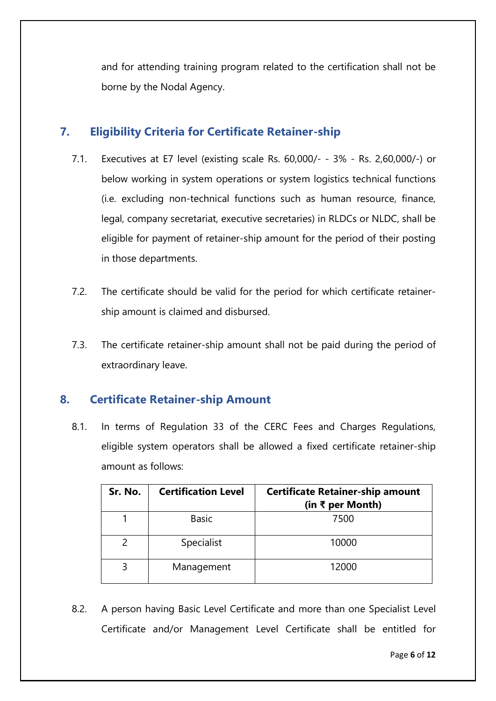and for attending training program related to the certification shall not be borne by the Nodal Agency.

## **7. Eligibility Criteria for Certificate Retainer-ship**

- 7.1. Executives at E7 level (existing scale Rs. 60,000/- 3% Rs. 2,60,000/-) or below working in system operations or system logistics technical functions (i.e. excluding non-technical functions such as human resource, finance, legal, company secretariat, executive secretaries) in RLDCs or NLDC, shall be eligible for payment of retainer-ship amount for the period of their posting in those departments.
- 7.2. The certificate should be valid for the period for which certificate retainership amount is claimed and disbursed.
- 7.3. The certificate retainer-ship amount shall not be paid during the period of extraordinary leave.

## <span id="page-7-0"></span>**8. Certificate Retainer-ship Amount**

8.1. In terms of Regulation 33 of the CERC Fees and Charges Regulations, eligible system operators shall be allowed a fixed certificate retainer-ship amount as follows:

| Sr. No. | <b>Certification Level</b> | <b>Certificate Retainer-ship amount</b><br>(in ₹ per Month) |
|---------|----------------------------|-------------------------------------------------------------|
|         | <b>Basic</b>               | 7500                                                        |
|         | Specialist                 | 10000                                                       |
| 3       | Management                 | 12000                                                       |

8.2. A person having Basic Level Certificate and more than one Specialist Level Certificate and/or Management Level Certificate shall be entitled for

Page **6** of **12**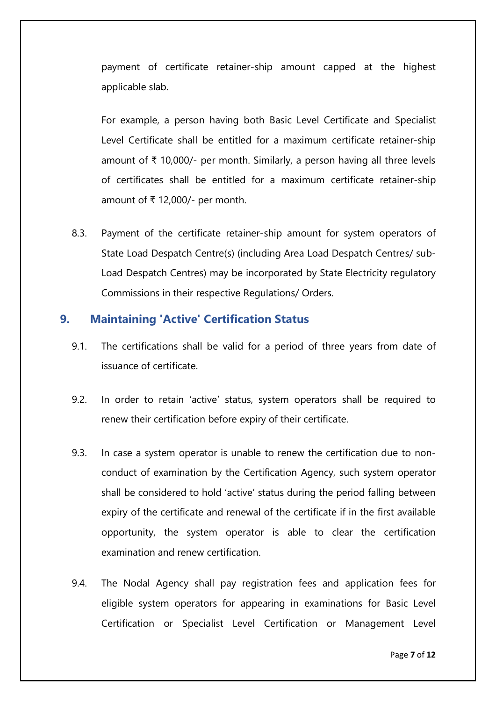payment of certificate retainer-ship amount capped at the highest applicable slab.

For example, a person having both Basic Level Certificate and Specialist Level Certificate shall be entitled for a maximum certificate retainer-ship amount of ₹ 10,000/- per month. Similarly, a person having all three levels of certificates shall be entitled for a maximum certificate retainer-ship amount of ₹ 12,000/- per month.

8.3. Payment of the certificate retainer-ship amount for system operators of State Load Despatch Centre(s) (including Area Load Despatch Centres/ sub-Load Despatch Centres) may be incorporated by State Electricity regulatory Commissions in their respective Regulations/ Orders.

### <span id="page-8-0"></span>**9. Maintaining 'Active' Certification Status**

- 9.1. The certifications shall be valid for a period of three years from date of issuance of certificate.
- 9.2. In order to retain "active" status, system operators shall be required to renew their certification before expiry of their certificate.
- 9.3. In case a system operator is unable to renew the certification due to nonconduct of examination by the Certification Agency, such system operator shall be considered to hold "active" status during the period falling between expiry of the certificate and renewal of the certificate if in the first available opportunity, the system operator is able to clear the certification examination and renew certification.
- 9.4. The Nodal Agency shall pay registration fees and application fees for eligible system operators for appearing in examinations for Basic Level Certification or Specialist Level Certification or Management Level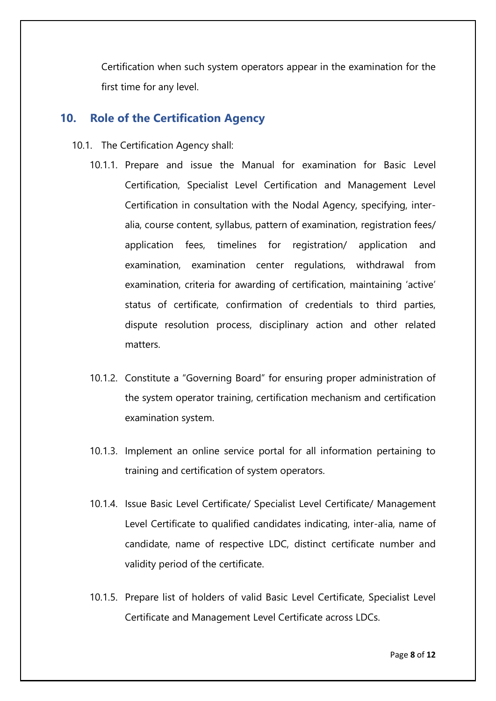Certification when such system operators appear in the examination for the first time for any level.

### <span id="page-9-0"></span>**10. Role of the Certification Agency**

- 10.1. The Certification Agency shall:
	- 10.1.1. Prepare and issue the Manual for examination for Basic Level Certification, Specialist Level Certification and Management Level Certification in consultation with the Nodal Agency, specifying, interalia, course content, syllabus, pattern of examination, registration fees/ application fees, timelines for registration/ application and examination, examination center regulations, withdrawal from examination, criteria for awarding of certification, maintaining "active" status of certificate, confirmation of credentials to third parties, dispute resolution process, disciplinary action and other related matters.
	- 10.1.2. Constitute a "Governing Board" for ensuring proper administration of the system operator training, certification mechanism and certification examination system.
	- 10.1.3. Implement an online service portal for all information pertaining to training and certification of system operators.
	- 10.1.4. Issue Basic Level Certificate/ Specialist Level Certificate/ Management Level Certificate to qualified candidates indicating, inter-alia, name of candidate, name of respective LDC, distinct certificate number and validity period of the certificate.
	- 10.1.5. Prepare list of holders of valid Basic Level Certificate, Specialist Level Certificate and Management Level Certificate across LDCs.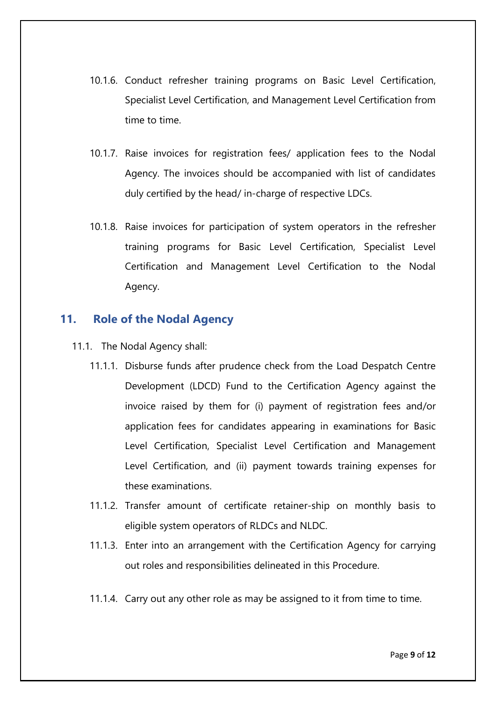- 10.1.6. Conduct refresher training programs on Basic Level Certification, Specialist Level Certification, and Management Level Certification from time to time.
- 10.1.7. Raise invoices for registration fees/ application fees to the Nodal Agency. The invoices should be accompanied with list of candidates duly certified by the head/ in-charge of respective LDCs.
- 10.1.8. Raise invoices for participation of system operators in the refresher training programs for Basic Level Certification, Specialist Level Certification and Management Level Certification to the Nodal Agency.

### <span id="page-10-0"></span>**11. Role of the Nodal Agency**

- 11.1. The Nodal Agency shall:
	- 11.1.1. Disburse funds after prudence check from the Load Despatch Centre Development (LDCD) Fund to the Certification Agency against the invoice raised by them for (i) payment of registration fees and/or application fees for candidates appearing in examinations for Basic Level Certification, Specialist Level Certification and Management Level Certification, and (ii) payment towards training expenses for these examinations.
	- 11.1.2. Transfer amount of certificate retainer-ship on monthly basis to eligible system operators of RLDCs and NLDC.
	- 11.1.3. Enter into an arrangement with the Certification Agency for carrying out roles and responsibilities delineated in this Procedure.
	- 11.1.4. Carry out any other role as may be assigned to it from time to time.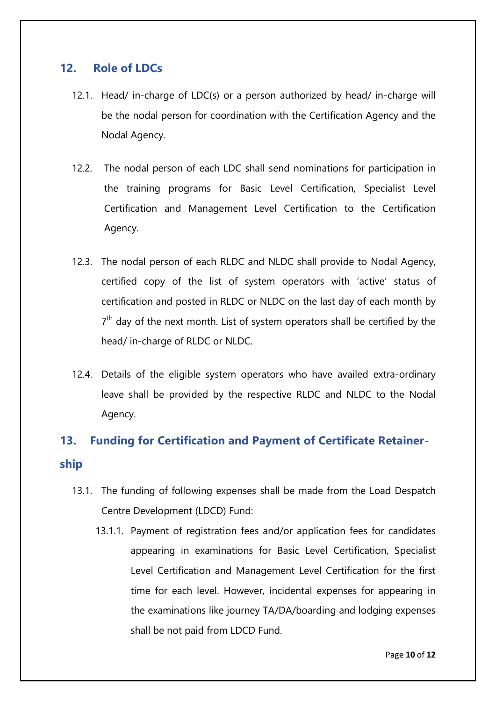## <span id="page-11-0"></span>**12. Role of LDCs**

- 12.1. Head/ in-charge of LDC(s) or a person authorized by head/ in-charge will be the nodal person for coordination with the Certification Agency and the Nodal Agency.
- 12.2. The nodal person of each LDC shall send nominations for participation in the training programs for Basic Level Certification, Specialist Level Certification and Management Level Certification to the Certification Agency.
- 12.3. The nodal person of each RLDC and NLDC shall provide to Nodal Agency, certified copy of the list of system operators with "active" status of certification and posted in RLDC or NLDC on the last day of each month by  $7<sup>th</sup>$  day of the next month. List of system operators shall be certified by the head/ in-charge of RLDC or NLDC.
- 12.4. Details of the eligible system operators who have availed extra-ordinary leave shall be provided by the respective RLDC and NLDC to the Nodal Agency.

# <span id="page-11-1"></span>**13. Funding for Certification and Payment of Certificate Retainership**

- 13.1. The funding of following expenses shall be made from the Load Despatch Centre Development (LDCD) Fund:
	- 13.1.1. Payment of registration fees and/or application fees for candidates appearing in examinations for Basic Level Certification, Specialist Level Certification and Management Level Certification for the first time for each level. However, incidental expenses for appearing in the examinations like journey TA/DA/boarding and lodging expenses shall be not paid from LDCD Fund.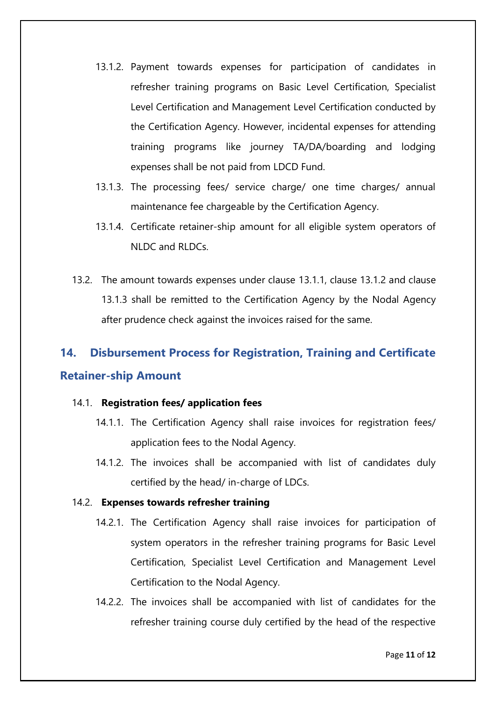- 13.1.2. Payment towards expenses for participation of candidates in refresher training programs on Basic Level Certification, Specialist Level Certification and Management Level Certification conducted by the Certification Agency. However, incidental expenses for attending training programs like journey TA/DA/boarding and lodging expenses shall be not paid from LDCD Fund.
- 13.1.3. The processing fees/ service charge/ one time charges/ annual maintenance fee chargeable by the Certification Agency.
- 13.1.4. Certificate retainer-ship amount for all eligible system operators of NLDC and RLDCs.
- 13.2. The amount towards expenses under clause 13.1.1, clause 13.1.2 and clause 13.1.3 shall be remitted to the Certification Agency by the Nodal Agency after prudence check against the invoices raised for the same.

# <span id="page-12-0"></span>**14. Disbursement Process for Registration, Training and Certificate Retainer-ship Amount**

#### 14.1. **Registration fees/ application fees**

- 14.1.1. The Certification Agency shall raise invoices for registration fees/ application fees to the Nodal Agency.
- 14.1.2. The invoices shall be accompanied with list of candidates duly certified by the head/ in-charge of LDCs.

#### 14.2. **Expenses towards refresher training**

- 14.2.1. The Certification Agency shall raise invoices for participation of system operators in the refresher training programs for Basic Level Certification, Specialist Level Certification and Management Level Certification to the Nodal Agency.
- 14.2.2. The invoices shall be accompanied with list of candidates for the refresher training course duly certified by the head of the respective